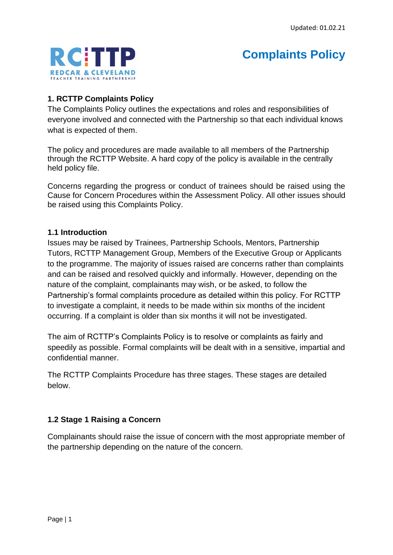

# **Complaints Policy**

### **1. RCTTP Complaints Policy**

The Complaints Policy outlines the expectations and roles and responsibilities of everyone involved and connected with the Partnership so that each individual knows what is expected of them.

The policy and procedures are made available to all members of the Partnership through the RCTTP Website. A hard copy of the policy is available in the centrally held policy file.

Concerns regarding the progress or conduct of trainees should be raised using the Cause for Concern Procedures within the Assessment Policy. All other issues should be raised using this Complaints Policy.

#### **1.1 Introduction**

Issues may be raised by Trainees, Partnership Schools, Mentors, Partnership Tutors, RCTTP Management Group, Members of the Executive Group or Applicants to the programme. The majority of issues raised are concerns rather than complaints and can be raised and resolved quickly and informally. However, depending on the nature of the complaint, complainants may wish, or be asked, to follow the Partnership's formal complaints procedure as detailed within this policy. For RCTTP to investigate a complaint, it needs to be made within six months of the incident occurring. If a complaint is older than six months it will not be investigated.

The aim of RCTTP's Complaints Policy is to resolve or complaints as fairly and speedily as possible. Formal complaints will be dealt with in a sensitive, impartial and confidential manner.

The RCTTP Complaints Procedure has three stages. These stages are detailed below.

#### **1.2 Stage 1 Raising a Concern**

Complainants should raise the issue of concern with the most appropriate member of the partnership depending on the nature of the concern.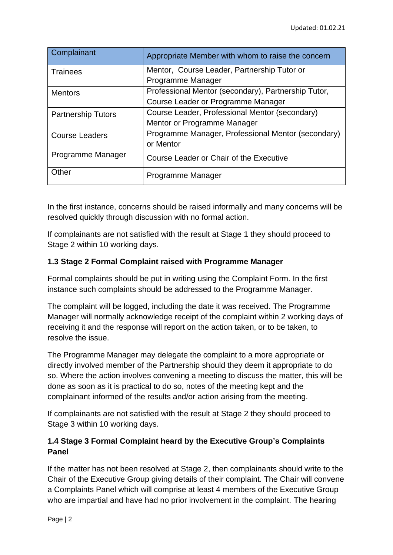| Complainant               | Appropriate Member with whom to raise the concern   |
|---------------------------|-----------------------------------------------------|
| <b>Trainees</b>           | Mentor, Course Leader, Partnership Tutor or         |
|                           | Programme Manager                                   |
| <b>Mentors</b>            | Professional Mentor (secondary), Partnership Tutor, |
|                           | Course Leader or Programme Manager                  |
| <b>Partnership Tutors</b> | Course Leader, Professional Mentor (secondary)      |
|                           | Mentor or Programme Manager                         |
| <b>Course Leaders</b>     | Programme Manager, Professional Mentor (secondary)  |
|                           | or Mentor                                           |
| Programme Manager         | Course Leader or Chair of the Executive             |
| Other                     | Programme Manager                                   |

In the first instance, concerns should be raised informally and many concerns will be resolved quickly through discussion with no formal action.

If complainants are not satisfied with the result at Stage 1 they should proceed to Stage 2 within 10 working days.

# **1.3 Stage 2 Formal Complaint raised with Programme Manager**

Formal complaints should be put in writing using the Complaint Form. In the first instance such complaints should be addressed to the Programme Manager.

The complaint will be logged, including the date it was received. The Programme Manager will normally acknowledge receipt of the complaint within 2 working days of receiving it and the response will report on the action taken, or to be taken, to resolve the issue.

The Programme Manager may delegate the complaint to a more appropriate or directly involved member of the Partnership should they deem it appropriate to do so. Where the action involves convening a meeting to discuss the matter, this will be done as soon as it is practical to do so, notes of the meeting kept and the complainant informed of the results and/or action arising from the meeting.

If complainants are not satisfied with the result at Stage 2 they should proceed to Stage 3 within 10 working days.

# **1.4 Stage 3 Formal Complaint heard by the Executive Group's Complaints Panel**

If the matter has not been resolved at Stage 2, then complainants should write to the Chair of the Executive Group giving details of their complaint. The Chair will convene a Complaints Panel which will comprise at least 4 members of the Executive Group who are impartial and have had no prior involvement in the complaint. The hearing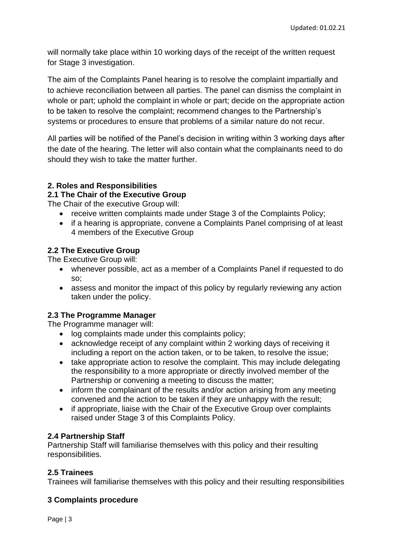will normally take place within 10 working days of the receipt of the written request for Stage 3 investigation.

The aim of the Complaints Panel hearing is to resolve the complaint impartially and to achieve reconciliation between all parties. The panel can dismiss the complaint in whole or part; uphold the complaint in whole or part; decide on the appropriate action to be taken to resolve the complaint; recommend changes to the Partnership's systems or procedures to ensure that problems of a similar nature do not recur.

All parties will be notified of the Panel's decision in writing within 3 working days after the date of the hearing. The letter will also contain what the complainants need to do should they wish to take the matter further.

#### **2. Roles and Responsibilities**

**2.1 The Chair of the Executive Group**

The Chair of the executive Group will:

- receive written complaints made under Stage 3 of the Complaints Policy;
- if a hearing is appropriate, convene a Complaints Panel comprising of at least 4 members of the Executive Group

#### **2.2 The Executive Group**

The Executive Group will:

- whenever possible, act as a member of a Complaints Panel if requested to do so;
- assess and monitor the impact of this policy by regularly reviewing any action taken under the policy.

#### **2.3 The Programme Manager**

The Programme manager will:

- log complaints made under this complaints policy;
- acknowledge receipt of any complaint within 2 working days of receiving it including a report on the action taken, or to be taken, to resolve the issue;
- take appropriate action to resolve the complaint. This may include delegating the responsibility to a more appropriate or directly involved member of the Partnership or convening a meeting to discuss the matter;
- inform the complainant of the results and/or action arising from any meeting convened and the action to be taken if they are unhappy with the result;
- if appropriate, liaise with the Chair of the Executive Group over complaints raised under Stage 3 of this Complaints Policy.

#### **2.4 Partnership Staff**

Partnership Staff will familiarise themselves with this policy and their resulting responsibilities.

#### **2.5 Trainees**

Trainees will familiarise themselves with this policy and their resulting responsibilities

#### **3 Complaints procedure**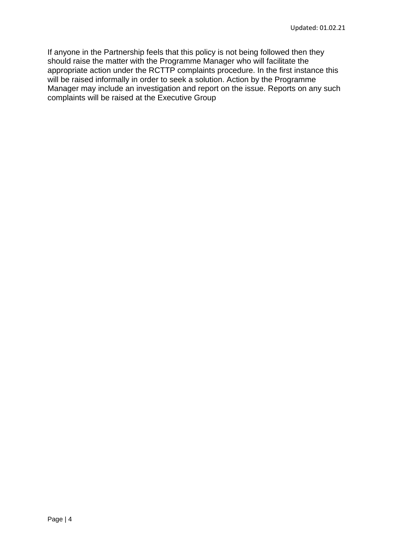If anyone in the Partnership feels that this policy is not being followed then they should raise the matter with the Programme Manager who will facilitate the appropriate action under the RCTTP complaints procedure. In the first instance this will be raised informally in order to seek a solution. Action by the Programme Manager may include an investigation and report on the issue. Reports on any such complaints will be raised at the Executive Group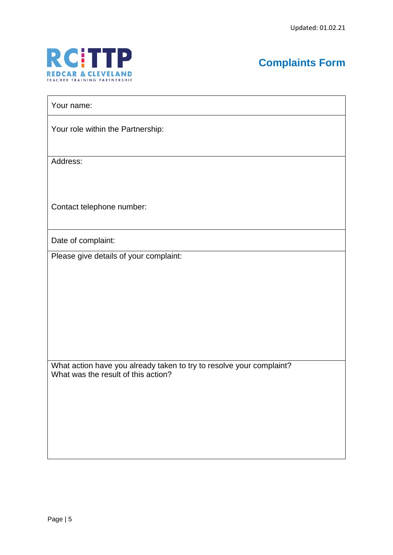

# **Complaints Form**

Your name:

Your role within the Partnership:

Address:

Contact telephone number:

Date of complaint:

Please give details of your complaint:

What action have you already taken to try to resolve your complaint? What was the result of this action?